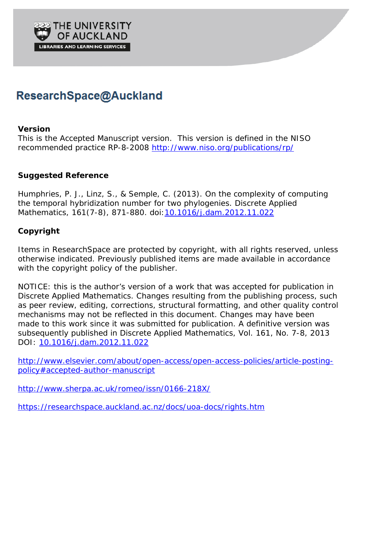

# ResearchSpace@Auckland

### **Version**

This is the Accepted Manuscript version. This version is defined in the NISO recommended practice RP-8-2008<http://www.niso.org/publications/rp/>

## **Suggested Reference**

Humphries, P. J., Linz, S., & Semple, C. (2013). On the complexity of computing the temporal hybridization number for two phylogenies. *Discrete Applied Mathematics*, 161(7-8), 871-880. doi[:10.1016/j.dam.2012.11.022](http://dx.doi.org/10.1016/j.dam.2012.11.022)

## **Copyright**

Items in ResearchSpace are protected by copyright, with all rights reserved, unless otherwise indicated. Previously published items are made available in accordance with the copyright policy of the publisher.

NOTICE: this is the author's version of a work that was accepted for publication in *Discrete Applied Mathematics*. Changes resulting from the publishing process, such as peer review, editing, corrections, structural formatting, and other quality control mechanisms may not be reflected in this document. Changes may have been made to this work since it was submitted for publication. A definitive version was subsequently published in *Discrete Applied Mathematics*, Vol. 161, No. 7-8, 2013 DOI: [10.1016/j.dam.2012.11.022](http://dx.doi.org/10.1016/j.dam.2012.11.022)

[http://www.elsevier.com/about/open-access/open-access-policies/article-posting](http://www.elsevier.com/about/open-access/open-access-policies/article-posting-policy%23accepted-author-manuscript)[policy#accepted-author-manuscript](http://www.elsevier.com/about/open-access/open-access-policies/article-posting-policy%23accepted-author-manuscript)

<http://www.sherpa.ac.uk/romeo/issn/0166-218X/>

<https://researchspace.auckland.ac.nz/docs/uoa-docs/rights.htm>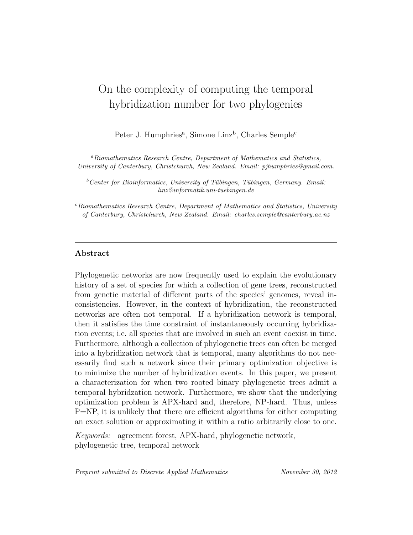## On the complexity of computing the temporal hybridization number for two phylogenies

Peter J. Humphries<sup>a</sup>, Simone Linz<sup>b</sup>, Charles Semple<sup>c</sup>

<sup>a</sup>Biomathematics Research Centre, Department of Mathematics and Statistics, University of Canterbury, Christchurch, New Zealand. Email: pjhumphries@gmail.com.

 $b$ <sup>b</sup>Center for Bioinformatics, University of Tübingen, Tübingen, Germany. Email: linz@informatik.uni-tuebingen.de

 $c$ Biomathematics Research Centre, Department of Mathematics and Statistics, University of Canterbury, Christchurch, New Zealand. Email: charles.semple@canterbury.ac.nz

#### Abstract

Phylogenetic networks are now frequently used to explain the evolutionary history of a set of species for which a collection of gene trees, reconstructed from genetic material of different parts of the species' genomes, reveal inconsistencies. However, in the context of hybridization, the reconstructed networks are often not temporal. If a hybridization network is temporal, then it satisfies the time constraint of instantaneously occurring hybridization events; i.e. all species that are involved in such an event coexist in time. Furthermore, although a collection of phylogenetic trees can often be merged into a hybridization network that is temporal, many algorithms do not necessarily find such a network since their primary optimization objective is to minimize the number of hybridization events. In this paper, we present a characterization for when two rooted binary phylogenetic trees admit a temporal hybridzation network. Furthermore, we show that the underlying optimization problem is APX-hard and, therefore, NP-hard. Thus, unless P=NP, it is unlikely that there are efficient algorithms for either computing an exact solution or approximating it within a ratio arbitrarily close to one.

Keywords: agreement forest, APX-hard, phylogenetic network, phylogenetic tree, temporal network

Preprint submitted to Discrete Applied Mathematics November 30, 2012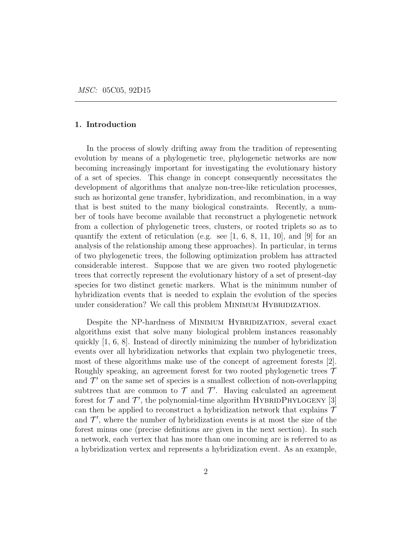#### 1. Introduction

In the process of slowly drifting away from the tradition of representing evolution by means of a phylogenetic tree, phylogenetic networks are now becoming increasingly important for investigating the evolutionary history of a set of species. This change in concept consequently necessitates the development of algorithms that analyze non-tree-like reticulation processes, such as horizontal gene transfer, hybridization, and recombination, in a way that is best suited to the many biological constraints. Recently, a number of tools have become available that reconstruct a phylogenetic network from a collection of phylogenetic trees, clusters, or rooted triplets so as to quantify the extent of reticulation (e.g. see  $[1, 6, 8, 11, 10]$ , and  $[9]$  for an analysis of the relationship among these approaches). In particular, in terms of two phylogenetic trees, the following optimization problem has attracted considerable interest. Suppose that we are given two rooted phylogenetic trees that correctly represent the evolutionary history of a set of present-day species for two distinct genetic markers. What is the minimum number of hybridization events that is needed to explain the evolution of the species under consideration? We call this problem MINIMUM HYBRIDIZATION.

Despite the NP-hardness of MINIMUM HYBRIDIZATION, several exact algorithms exist that solve many biological problem instances reasonably quickly [1, 6, 8]. Instead of directly minimizing the number of hybridization events over all hybridization networks that explain two phylogenetic trees, most of these algorithms make use of the concept of agreement forests [2]. Roughly speaking, an agreement forest for two rooted phylogenetic trees  $\mathcal T$ and  $\mathcal{T}'$  on the same set of species is a smallest collection of non-overlapping subtrees that are common to  $\mathcal T$  and  $\mathcal T'$ . Having calculated an agreement forest for  $\mathcal T$  and  $\mathcal T'$ , the polynomial-time algorithm HYBRIDPHYLOGENY [3] can then be applied to reconstruct a hybridization network that explains  $\mathcal T$ and  $\mathcal{T}'$ , where the number of hybridization events is at most the size of the forest minus one (precise definitions are given in the next section). In such a network, each vertex that has more than one incoming arc is referred to as a hybridization vertex and represents a hybridization event. As an example,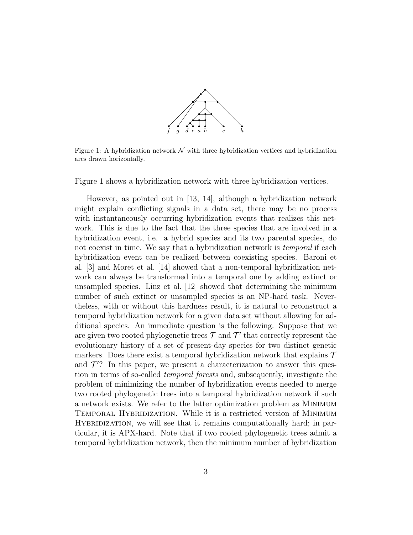

Figure 1: A hybridization network  $\mathcal N$  with three hybridization vertices and hybridization arcs drawn horizontally.

Figure 1 shows a hybridization network with three hybridization vertices.

However, as pointed out in [13, 14], although a hybridization network might explain conflicting signals in a data set, there may be no process with instantaneously occurring hybridization events that realizes this network. This is due to the fact that the three species that are involved in a hybridization event, i.e. a hybrid species and its two parental species, do not coexist in time. We say that a hybridization network is *temporal* if each hybridization event can be realized between coexisting species. Baroni et al. [3] and Moret et al. [14] showed that a non-temporal hybridization network can always be transformed into a temporal one by adding extinct or unsampled species. Linz et al. [12] showed that determining the minimum number of such extinct or unsampled species is an NP-hard task. Nevertheless, with or without this hardness result, it is natural to reconstruct a temporal hybridization network for a given data set without allowing for additional species. An immediate question is the following. Suppose that we are given two rooted phylogenetic trees  $\mathcal T$  and  $\mathcal T'$  that correctly represent the evolutionary history of a set of present-day species for two distinct genetic markers. Does there exist a temporal hybridization network that explains  $\mathcal T$ and  $\mathcal{T}'$ ? In this paper, we present a characterization to answer this question in terms of so-called temporal forests and, subsequently, investigate the problem of minimizing the number of hybridization events needed to merge two rooted phylogenetic trees into a temporal hybridization network if such a network exists. We refer to the latter optimization problem as Minimum TEMPORAL HYBRIDIZATION. While it is a restricted version of MINIMUM HYBRIDIZATION, we will see that it remains computationally hard; in particular, it is APX-hard. Note that if two rooted phylogenetic trees admit a temporal hybridization network, then the minimum number of hybridization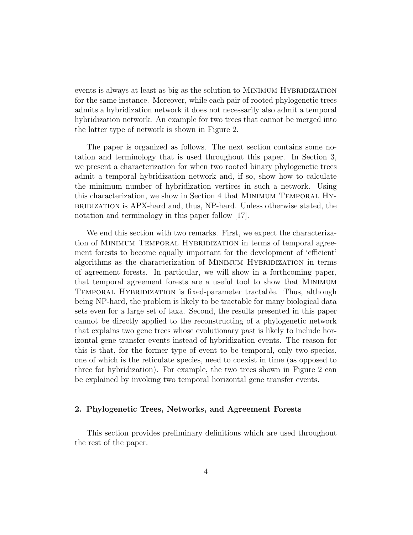events is always at least as big as the solution to MINIMUM HYBRIDIZATION for the same instance. Moreover, while each pair of rooted phylogenetic trees admits a hybridization network it does not necessarily also admit a temporal hybridization network. An example for two trees that cannot be merged into the latter type of network is shown in Figure 2.

The paper is organized as follows. The next section contains some notation and terminology that is used throughout this paper. In Section 3, we present a characterization for when two rooted binary phylogenetic trees admit a temporal hybridization network and, if so, show how to calculate the minimum number of hybridization vertices in such a network. Using this characterization, we show in Section 4 that Minimum Temporal Hybridization is APX-hard and, thus, NP-hard. Unless otherwise stated, the notation and terminology in this paper follow [17].

We end this section with two remarks. First, we expect the characterization of MINIMUM TEMPORAL HYBRIDIZATION in terms of temporal agreement forests to become equally important for the development of 'efficient' algorithms as the characterization of MINIMUM HYBRIDIZATION in terms of agreement forests. In particular, we will show in a forthcoming paper, that temporal agreement forests are a useful tool to show that Minimum Temporal Hybridization is fixed-parameter tractable. Thus, although being NP-hard, the problem is likely to be tractable for many biological data sets even for a large set of taxa. Second, the results presented in this paper cannot be directly applied to the reconstructing of a phylogenetic network that explains two gene trees whose evolutionary past is likely to include horizontal gene transfer events instead of hybridization events. The reason for this is that, for the former type of event to be temporal, only two species, one of which is the reticulate species, need to coexist in time (as opposed to three for hybridization). For example, the two trees shown in Figure 2 can be explained by invoking two temporal horizontal gene transfer events.

#### 2. Phylogenetic Trees, Networks, and Agreement Forests

This section provides preliminary definitions which are used throughout the rest of the paper.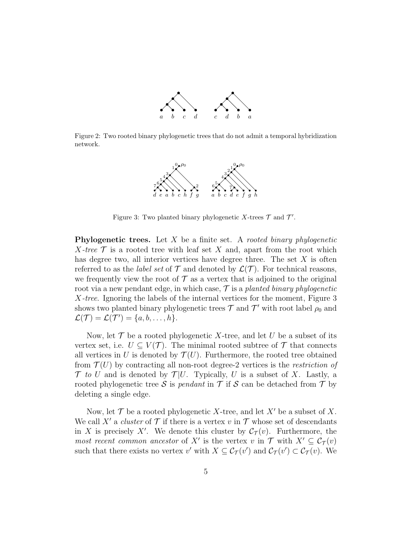

Figure 2: Two rooted binary phylogenetic trees that do not admit a temporal hybridization network.



Figure 3: Two planted binary phylogenetic X-trees  $\mathcal T$  and  $\mathcal T'$ .

**Phylogenetic trees.** Let  $X$  be a finite set. A rooted binary phylogenetic X-tree  $\mathcal T$  is a rooted tree with leaf set X and, apart from the root which has degree two, all interior vertices have degree three. The set  $X$  is often referred to as the *label set* of  $\mathcal T$  and denoted by  $\mathcal L(\mathcal T)$ . For technical reasons, we frequently view the root of  $\mathcal T$  as a vertex that is adjoined to the original root via a new pendant edge, in which case,  $\mathcal{T}$  is a planted binary phylogenetic X-tree. Ignoring the labels of the internal vertices for the moment, Figure 3 shows two planted binary phylogenetic trees  $\mathcal T$  and  $\mathcal T'$  with root label  $\rho_0$  and  $\mathcal{L}(\mathcal{T}) = \mathcal{L}(\mathcal{T}') = \{a, b, \ldots, h\}.$ 

Now, let  $\mathcal T$  be a rooted phylogenetic X-tree, and let U be a subset of its vertex set, i.e.  $U \subseteq V(\mathcal{T})$ . The minimal rooted subtree of  $\mathcal{T}$  that connects all vertices in U is denoted by  $\mathcal{T}(U)$ . Furthermore, the rooted tree obtained from  $\mathcal{T}(U)$  by contracting all non-root degree-2 vertices is the restriction of  $\mathcal T$  to U and is denoted by  $\mathcal T |U$ . Typically, U is a subset of X. Lastly, a rooted phylogenetic tree S is *pendant* in  $\mathcal T$  if S can be detached from  $\mathcal T$  by deleting a single edge.

Now, let  $\mathcal T$  be a rooted phylogenetic X-tree, and let X' be a subset of X. We call X' a cluster of  $\mathcal T$  if there is a vertex v in  $\mathcal T$  whose set of descendants in X is precisely X'. We denote this cluster by  $\mathcal{C}_{\mathcal{T}}(v)$ . Furthermore, the most recent common ancestor of X' is the vertex v in  $\mathcal{T}$  with  $X' \subseteq \mathcal{C}_{\mathcal{T}}(v)$ such that there exists no vertex v' with  $X \subseteq C_{\mathcal{T}}(v')$  and  $C_{\mathcal{T}}(v') \subset C_{\mathcal{T}}(v)$ . We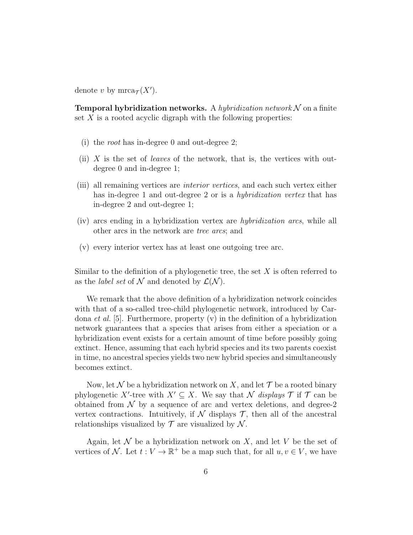denote v by  $mrea_{\mathcal{T}}(X')$ .

**Temporal hybridization networks.** A hybridization network  $\mathcal N$  on a finite set  $X$  is a rooted acyclic digraph with the following properties:

- (i) the root has in-degree 0 and out-degree 2;
- (ii) X is the set of *leaves* of the network, that is, the vertices with outdegree 0 and in-degree 1;
- (iii) all remaining vertices are interior vertices, and each such vertex either has in-degree 1 and out-degree 2 or is a *hybridization vertex* that has in-degree 2 and out-degree 1;
- (iv) arcs ending in a hybridization vertex are hybridization arcs, while all other arcs in the network are tree arcs; and
- (v) every interior vertex has at least one outgoing tree arc.

Similar to the definition of a phylogenetic tree, the set  $X$  is often referred to as the *label set* of N and denoted by  $\mathcal{L}(\mathcal{N})$ .

We remark that the above definition of a hybridization network coincides with that of a so-called tree-child phylogenetic network, introduced by Cardona *et al.* [5]. Furthermore, property  $(v)$  in the definition of a hybridization network guarantees that a species that arises from either a speciation or a hybridization event exists for a certain amount of time before possibly going extinct. Hence, assuming that each hybrid species and its two parents coexist in time, no ancestral species yields two new hybrid species and simultaneously becomes extinct.

Now, let N be a hybridization network on X, and let  $\mathcal T$  be a rooted binary phylogenetic X'-tree with  $X' \subseteq X$ . We say that N displays T if T can be obtained from  $\mathcal N$  by a sequence of arc and vertex deletions, and degree-2 vertex contractions. Intuitively, if  $\mathcal N$  displays  $\mathcal T$ , then all of the ancestral relationships visualized by  $\mathcal T$  are visualized by  $\mathcal N$ .

Again, let  $\mathcal N$  be a hybridization network on X, and let V be the set of vertices of N. Let  $t: V \to \mathbb{R}^+$  be a map such that, for all  $u, v \in V$ , we have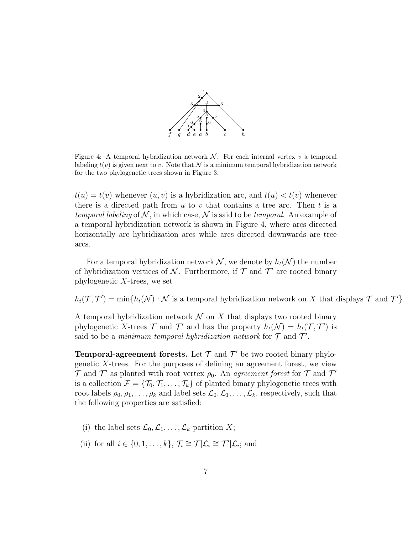

Figure 4: A temporal hybridization network  $\mathcal N$ . For each internal vertex v a temporal labeling  $t(v)$  is given next to v. Note that N is a minimum temporal hybridization network for the two phylogenetic trees shown in Figure 3.

 $t(u) = t(v)$  whenever  $(u, v)$  is a hybridization arc, and  $t(u) < t(v)$  whenever there is a directed path from  $u$  to  $v$  that contains a tree arc. Then  $t$  is a temporal labeling of  $N$ , in which case, N is said to be temporal. An example of a temporal hybridization network is shown in Figure 4, where arcs directed horizontally are hybridization arcs while arcs directed downwards are tree arcs.

For a temporal hybridization network  $\mathcal{N}$ , we denote by  $h_t(\mathcal{N})$  the number of hybridization vertices of N. Furthermore, if  $\mathcal T$  and  $\mathcal T'$  are rooted binary phylogenetic  $X$ -trees, we set

 $h_t(\mathcal{T}, \mathcal{T}') = \min\{h_t(\mathcal{N}) : \mathcal{N} \text{ is a temporal hybridization network on } X \text{ that displays } \mathcal{T} \text{ and } \mathcal{T}'\}.$ 

A temporal hybridization network  $\mathcal N$  on X that displays two rooted binary phylogenetic X-trees  $\mathcal T$  and  $\mathcal T'$  and has the property  $h_t(\mathcal N) = h_t(\mathcal T, \mathcal T')$  is said to be a *minimum temporal hybridization network* for  $\mathcal T$  and  $\mathcal T'$ .

**Temporal-agreement forests.** Let  $\mathcal T$  and  $\mathcal T'$  be two rooted binary phylogenetic  $X$ -trees. For the purposes of defining an agreement forest, we view  $\mathcal T$  and  $\mathcal T'$  as planted with root vertex  $\rho_0$ . An agreement forest for  $\mathcal T$  and  $\mathcal T'$ is a collection  $\mathcal{F} = {\mathcal{T}_0, \mathcal{T}_1, \ldots, \mathcal{T}_k}$  of planted binary phylogenetic trees with root labels  $\rho_0, \rho_1, \ldots, \rho_k$  and label sets  $\mathcal{L}_0, \mathcal{L}_1, \ldots, \mathcal{L}_k$ , respectively, such that the following properties are satisfied:

- (i) the label sets  $\mathcal{L}_0, \mathcal{L}_1, \ldots, \mathcal{L}_k$  partition X;
- (ii) for all  $i \in \{0, 1, \ldots, k\}, \mathcal{T}_i \cong \mathcal{T} | \mathcal{L}_i \cong \mathcal{T}' | \mathcal{L}_i$ ; and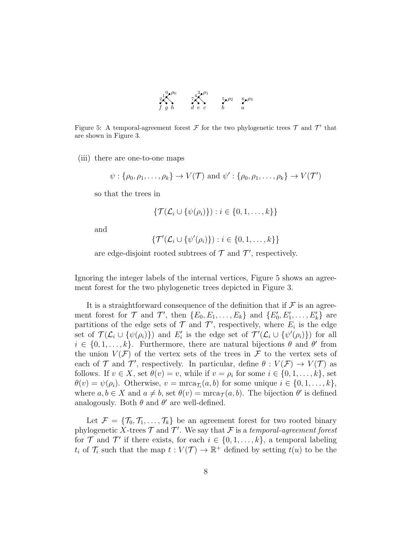

Figure 5: A temporal-agreement forest  $\mathcal F$  for the two phylogenetic trees  $\mathcal T$  and  $\mathcal T'$  that are shown in Figure 3.

(iii) there are one-to-one maps

$$
\psi: {\rho_0, \rho_1, \ldots, \rho_k} \to V(\mathcal{T})
$$
 and  $\psi': {\rho_0, \rho_1, \ldots, \rho_k} \to V(\mathcal{T}')$ 

so that the trees in

$$
\{\mathcal{T}(\mathcal{L}_i \cup \{\psi(\rho_i)\}): i \in \{0, 1, \ldots, k\}\}\
$$

and

$$
\{\mathcal{T}'(\mathcal{L}_i \cup \{\psi'(\rho_i)\}): i \in \{0, 1, \ldots, k\}\}\
$$

are edge-disjoint rooted subtrees of  $\mathcal T$  and  $\mathcal T'$ , respectively.

Ignoring the integer labels of the internal vertices, Figure 5 shows an agreement forest for the two phylogenetic trees depicted in Figure 3.

It is a straightforward consequence of the definition that if  $\mathcal F$  is an agreement forest for  $\mathcal T$  and  $\mathcal T'$ , then  $\{E_0, E_1, \ldots, E_k\}$  and  $\{E'_0, E'_1, \ldots, E'_k\}$  are partitions of the edge sets of  $\mathcal T$  and  $\mathcal T'$ , respectively, where  $E_i$  is the edge set of  $\mathcal{T}(\mathcal{L}_i \cup \{\psi(\rho_i)\})$  and  $E'_i$  is the edge set of  $\mathcal{T}'(\mathcal{L}_i \cup \{\psi'(\rho_i)\})$  for all  $i \in \{0, 1, \ldots, k\}$ . Furthermore, there are natural bijections  $\theta$  and  $\theta'$  from the union  $V(\mathcal{F})$  of the vertex sets of the trees in  $\mathcal F$  to the vertex sets of each of  $\mathcal T$  and  $\mathcal T'$ , respectively. In particular, define  $\theta: V(\mathcal F) \to V(\mathcal T)$  as follows. If  $v \in X$ , set  $\theta(v) = v$ , while if  $v = \rho_i$  for some  $i \in \{0, 1, \ldots, k\}$ , set  $\theta(v) = \psi(\rho_i)$ . Otherwise,  $v = \arctan{\tau_i(a, b)}$  for some unique  $i \in \{0, 1, ..., k\}$ , where  $a, b \in X$  and  $a \neq b$ , set  $\theta(v) = \text{mrea}_{\mathcal{T}}(a, b)$ . The bijection  $\theta'$  is defined analogously. Both  $\theta$  and  $\theta'$  are well-defined.

Let  $\mathcal{F} = \{\mathcal{T}_0, \mathcal{T}_1, \ldots, \mathcal{T}_k\}$  be an agreement forest for two rooted binary phylogenetic X-trees  $\mathcal T$  and  $\mathcal T'$ . We say that  $\mathcal F$  is a temporal-agreement forest for  $\mathcal T$  and  $\mathcal T'$  if there exists, for each  $i \in \{0, 1, \ldots, k\}$ , a temporal labeling  $t_i$  of  $\mathcal{T}_i$  such that the map  $t: V(\mathcal{T}) \to \mathbb{R}^+$  defined by setting  $t(u)$  to be the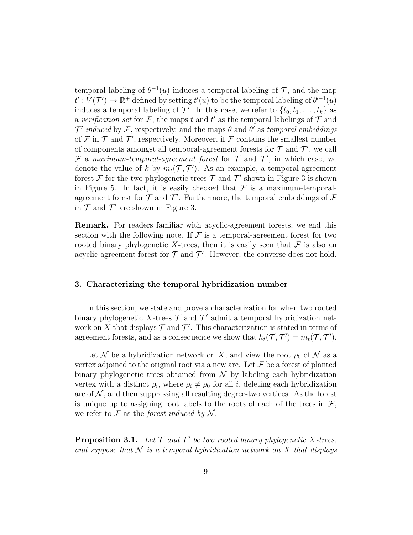temporal labeling of  $\theta^{-1}(u)$  induces a temporal labeling of  $\mathcal{T}$ , and the map  $t': V(\mathcal{T}') \to \mathbb{R}^+$  defined by setting  $t'(u)$  to be the temporal labeling of  $\theta'^{-1}(u)$ induces a temporal labeling of  $\mathcal{T}'$ . In this case, we refer to  $\{t_0, t_1, \ldots, t_k\}$  as a verification set for F, the maps t and t' as the temporal labelings of  $\mathcal T$  and  $\mathcal{T}'$  induced by  $\mathcal{F}$ , respectively, and the maps  $\theta$  and  $\theta'$  as temporal embeddings of  $\mathcal F$  in  $\mathcal T$  and  $\mathcal T'$ , respectively. Moreover, if  $\mathcal F$  contains the smallest number of components amongst all temporal-agreement forests for  $\mathcal T$  and  $\mathcal T'$ , we call F a maximum-temporal-agreement forest for  $\mathcal T$  and  $\mathcal T'$ , in which case, we denote the value of k by  $m_t(\mathcal{T}, \mathcal{T}')$ . As an example, a temporal-agreement forest F for the two phylogenetic trees  $\mathcal T$  and  $\mathcal T'$  shown in Figure 3 is shown in Figure 5. In fact, it is easily checked that  $\mathcal F$  is a maximum-temporalagreement forest for  $\mathcal T$  and  $\mathcal T'$ . Furthermore, the temporal embeddings of  $\mathcal F$ in  $\mathcal T$  and  $\mathcal T'$  are shown in Figure 3.

Remark. For readers familiar with acyclic-agreement forests, we end this section with the following note. If  $\mathcal F$  is a temporal-agreement forest for two rooted binary phylogenetic X-trees, then it is easily seen that  $\mathcal F$  is also an acyclic-agreement forest for  $\mathcal T$  and  $\mathcal T'$ . However, the converse does not hold.

#### 3. Characterizing the temporal hybridization number

In this section, we state and prove a characterization for when two rooted binary phylogenetic X-trees  $\mathcal T$  and  $\mathcal T'$  admit a temporal hybridization network on X that displays  $\mathcal T$  and  $\mathcal T'$ . This characterization is stated in terms of agreement forests, and as a consequence we show that  $h_t(\mathcal{T}, \mathcal{T}') = m_t(\mathcal{T}, \mathcal{T}')$ .

Let N be a hybridization network on X, and view the root  $\rho_0$  of N as a vertex adjoined to the original root via a new arc. Let  $\mathcal F$  be a forest of planted binary phylogenetic trees obtained from  $\mathcal N$  by labeling each hybridization vertex with a distinct  $\rho_i$ , where  $\rho_i \neq \rho_0$  for all i, deleting each hybridization arc of  $\mathcal N$ , and then suppressing all resulting degree-two vertices. As the forest is unique up to assigning root labels to the roots of each of the trees in  $\mathcal{F}$ , we refer to  $\mathcal F$  as the forest induced by  $\mathcal N$ .

**Proposition 3.1.** Let  $\mathcal T$  and  $\mathcal T'$  be two rooted binary phylogenetic X-trees, and suppose that  $\mathcal N$  is a temporal hybridization network on  $X$  that displays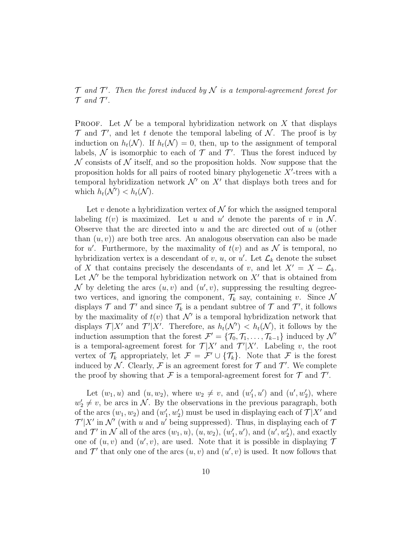$\mathcal T$  and  $\mathcal T'$ . Then the forest induced by  $\mathcal N$  is a temporal-agreement forest for  $\mathcal T$  and  $\mathcal T'$ .

**PROOF.** Let  $\mathcal N$  be a temporal hybridization network on  $X$  that displays  $\mathcal T$  and  $\mathcal T'$ , and let t denote the temporal labeling of  $\mathcal N$ . The proof is by induction on  $h_t(\mathcal{N})$ . If  $h_t(\mathcal{N}) = 0$ , then, up to the assignment of temporal labels,  $\mathcal N$  is isomorphic to each of  $\mathcal T$  and  $\mathcal T'$ . Thus the forest induced by  $\mathcal N$  consists of  $\mathcal N$  itself, and so the proposition holds. Now suppose that the proposition holds for all pairs of rooted binary phylogenetic  $X'$ -trees with a temporal hybridization network  $\mathcal{N}'$  on  $X'$  that displays both trees and for which  $h_t(\mathcal{N}') < h_t(\mathcal{N})$ .

Let v denote a hybridization vertex of  $\mathcal N$  for which the assigned temporal labeling  $t(v)$  is maximized. Let u and u' denote the parents of v in N. Observe that the arc directed into  $u$  and the arc directed out of  $u$  (other than  $(u, v)$  are both tree arcs. An analogous observation can also be made for u'. Furthermore, by the maximality of  $t(v)$  and as N is temporal, no hybridization vertex is a descendant of  $v, u$ , or  $u'$ . Let  $\mathcal{L}_k$  denote the subset of X that contains precisely the descendants of v, and let  $X' = X - \mathcal{L}_k$ . Let  $\mathcal{N}'$  be the temporal hybridization network on  $X'$  that is obtained from N by deleting the arcs  $(u, v)$  and  $(u', v)$ , suppressing the resulting degreetwo vertices, and ignoring the component,  $\mathcal{T}_k$  say, containing v. Since N displays  $\mathcal T$  and  $\mathcal T'$  and since  $\mathcal T_k$  is a pendant subtree of  $\mathcal T$  and  $\mathcal T'$ , it follows by the maximality of  $t(v)$  that  $\mathcal{N}'$  is a temporal hybridization network that displays  $\mathcal{T}|X'$  and  $\mathcal{T}'|X'$ . Therefore, as  $h_t(\mathcal{N}') < h_t(\mathcal{N})$ , it follows by the induction assumption that the forest  $\mathcal{F}' = {\mathcal{T}_0, \mathcal{T}_1, \ldots, \mathcal{T}_{k-1}}$  induced by  $\mathcal{N}'$ is a temporal-agreement forest for  $\mathcal{T}|X'$  and  $\mathcal{T}'|X'$ . Labeling v, the root vertex of  $\mathcal{T}_k$  appropriately, let  $\mathcal{F} = \mathcal{F}' \cup \{\mathcal{T}_k\}$ . Note that  $\mathcal{F}$  is the forest induced by N. Clearly, F is an agreement forest for  $\mathcal T$  and  $\mathcal T'$ . We complete the proof by showing that  $\mathcal F$  is a temporal-agreement forest for  $\mathcal T$  and  $\mathcal T'$ .

Let  $(w_1, u)$  and  $(u, w_2)$ , where  $w_2 \neq v$ , and  $(w'_1, u')$  and  $(u', w'_2)$ , where  $w_2' \neq v$ , be arcs in N. By the observations in the previous paragraph, both of the arcs  $(w_1, w_2)$  and  $(w'_1, w'_2)$  must be used in displaying each of  $\mathcal{T}|X'$  and  $\mathcal{T}'|X'$  in  $\mathcal{N}'$  (with u and u' being suppressed). Thus, in displaying each of  $\mathcal{T}'$ and  $\mathcal{T}'$  in  $\mathcal{N}$  all of the arcs  $(w_1, u)$ ,  $(u, w_2)$ ,  $(w'_1, u')$ , and  $(u', w'_2)$ , and exactly one of  $(u, v)$  and  $(u', v)$ , are used. Note that it is possible in displaying 7 and  $\mathcal{T}'$  that only one of the arcs  $(u, v)$  and  $(u', v)$  is used. It now follows that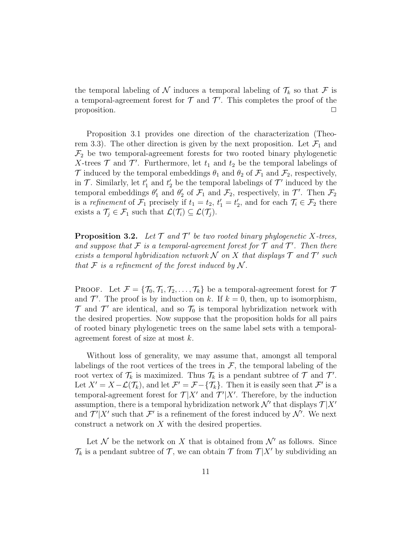the temporal labeling of  $\mathcal N$  induces a temporal labeling of  $\mathcal T_k$  so that  $\mathcal F$  is a temporal-agreement forest for  $\mathcal T$  and  $\mathcal T'$ . This completes the proof of the proposition.  $\Box$ 

Proposition 3.1 provides one direction of the characterization (Theorem 3.3). The other direction is given by the next proposition. Let  $\mathcal{F}_1$  and  $\mathcal{F}_2$  be two temporal-agreement forests for two rooted binary phylogenetic X-trees  $\mathcal T$  and  $\mathcal T'$ . Furthermore, let  $t_1$  and  $t_2$  be the temporal labelings of  $\mathcal T$  induced by the temporal embeddings  $\theta_1$  and  $\theta_2$  of  $\mathcal F_1$  and  $\mathcal F_2$ , respectively, in  $\mathcal{T}$ . Similarly, let  $t'_1$  and  $t'_2$  be the temporal labelings of  $\mathcal{T}'$  induced by the temporal embeddings  $\theta'_1$  and  $\theta'_2$  of  $\mathcal{F}_1$  and  $\mathcal{F}_2$ , respectively, in  $\mathcal{T}'$ . Then  $\mathcal{F}_2$ is a refinement of  $\mathcal{F}_1$  precisely if  $t_1 = t_2$ ,  $t'_1 = t'_2$ , and for each  $\mathcal{T}_i \in \mathcal{F}_2$  there exists a  $\mathcal{T}_j \in \mathcal{F}_1$  such that  $\mathcal{L}(\mathcal{T}_i) \subseteq \mathcal{L}(\mathcal{T}_j)$ .

**Proposition 3.2.** Let  $\mathcal{T}$  and  $\mathcal{T}'$  be two rooted binary phylogenetic X-trees, and suppose that  $\mathcal F$  is a temporal-agreement forest for  $\mathcal T$  and  $\mathcal T'$ . Then there exists a temporal hybridization network  $\mathcal N$  on  $X$  that displays  $\mathcal T$  and  $\mathcal T'$  such that  $\mathcal F$  is a refinement of the forest induced by  $\mathcal N$ .

PROOF. Let  $\mathcal{F} = {\mathcal{T}_0, \mathcal{T}_1, \mathcal{T}_2, \ldots, \mathcal{T}_k}$  be a temporal-agreement forest for  $\mathcal{T}$ and  $\mathcal{T}'$ . The proof is by induction on k. If  $k = 0$ , then, up to isomorphism,  $\mathcal T$  and  $\mathcal T'$  are identical, and so  $\mathcal T_0$  is temporal hybridization network with the desired properties. Now suppose that the proposition holds for all pairs of rooted binary phylogenetic trees on the same label sets with a temporalagreement forest of size at most k.

Without loss of generality, we may assume that, amongst all temporal labelings of the root vertices of the trees in  $\mathcal{F}$ , the temporal labeling of the root vertex of  $\mathcal{T}_k$  is maximized. Thus  $\mathcal{T}_k$  is a pendant subtree of  $\mathcal{T}$  and  $\mathcal{T}'$ . Let  $X' = X - \mathcal{L}(\mathcal{T}_k)$ , and let  $\mathcal{F}' = \mathcal{F} - {\{\mathcal{T}_k\}}$ . Then it is easily seen that  $\mathcal{F}'$  is a temporal-agreement forest for  $\mathcal{T}|X'$  and  $\mathcal{T}'|X'$ . Therefore, by the induction assumption, there is a temporal hybridization network  $\mathcal{N}'$  that displays  $\mathcal{T} | X'$ and  $\mathcal{T}'|X'$  such that  $\mathcal{F}'$  is a refinement of the forest induced by  $\mathcal{N}'$ . We next construct a network on X with the desired properties.

Let N be the network on X that is obtained from  $\mathcal{N}'$  as follows. Since  $\mathcal{T}_k$  is a pendant subtree of  $\mathcal{T}$ , we can obtain  $\mathcal{T}$  from  $\mathcal{T}|X'$  by subdividing an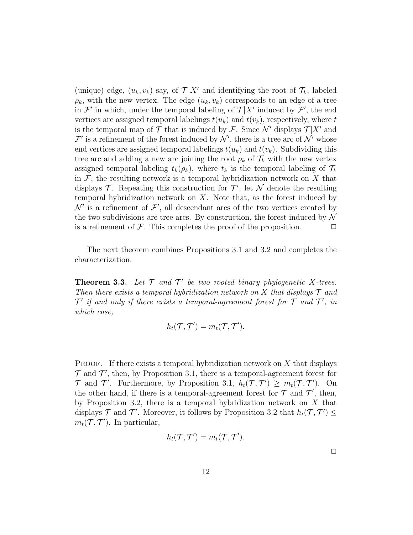(unique) edge,  $(u_k, v_k)$  say, of  $\mathcal{T}|X'$  and identifying the root of  $\mathcal{T}_k$ , labeled  $\rho_k$ , with the new vertex. The edge  $(u_k, v_k)$  corresponds to an edge of a tree in  $\mathcal{F}'$  in which, under the temporal labeling of  $\mathcal{T}|X'$  induced by  $\mathcal{F}'$ , the end vertices are assigned temporal labelings  $t(u_k)$  and  $t(v_k)$ , respectively, where t is the temporal map of  $\mathcal T$  that is induced by  $\mathcal F$ . Since  $\mathcal N'$  displays  $\mathcal T | X'$  and  $\mathcal{F}'$  is a refinement of the forest induced by  $\mathcal{N}'$ , there is a tree arc of  $\mathcal{N}'$  whose end vertices are assigned temporal labelings  $t(u_k)$  and  $t(v_k)$ . Subdividing this tree arc and adding a new arc joining the root  $\rho_k$  of  $\mathcal{T}_k$  with the new vertex assigned temporal labeling  $t_k(\rho_k)$ , where  $t_k$  is the temporal labeling of  $\mathcal{T}_k$ in  $\mathcal F$ , the resulting network is a temporal hybridization network on  $X$  that displays  $\mathcal{T}$ . Repeating this construction for  $\mathcal{T}'$ , let  $\mathcal N$  denote the resulting temporal hybridization network on  $X$ . Note that, as the forest induced by  $\mathcal{N}'$  is a refinement of  $\mathcal{F}'$ , all descendant arcs of the two vertices created by the two subdivisions are tree arcs. By construction, the forest induced by  $\mathcal N$ is a refinement of  $\mathcal F$ . This completes the proof of the proposition.  $\Box$ 

The next theorem combines Propositions 3.1 and 3.2 and completes the characterization.

**Theorem 3.3.** Let  $\mathcal{T}$  and  $\mathcal{T}'$  be two rooted binary phylogenetic X-trees. Then there exists a temporal hybridization network on X that displays  $\mathcal T$  and  $\mathcal{T}'$  if and only if there exists a temporal-agreement forest for  $\mathcal T$  and  $\mathcal T'$ , in which case,

$$
h_t(\mathcal{T}, \mathcal{T}') = m_t(\mathcal{T}, \mathcal{T}').
$$

**PROOF.** If there exists a temporal hybridization network on  $X$  that displays  $\mathcal T$  and  $\mathcal T'$ , then, by Proposition 3.1, there is a temporal-agreement forest for  $\mathcal T$  and  $\mathcal T'$ . Furthermore, by Proposition 3.1,  $h_t(\mathcal T, \mathcal T') \geq m_t(\mathcal T, \mathcal T')$ . On the other hand, if there is a temporal-agreement forest for  $\mathcal T$  and  $\mathcal T'$ , then, by Proposition 3.2, there is a temporal hybridization network on  $X$  that displays  $\mathcal T$  and  $\mathcal T'$ . Moreover, it follows by Proposition 3.2 that  $h_t(\mathcal T, \mathcal T') \leq$  $m_t(\mathcal{T}, \mathcal{T}')$ . In particular,

$$
h_t(\mathcal{T}, \mathcal{T}') = m_t(\mathcal{T}, \mathcal{T}').
$$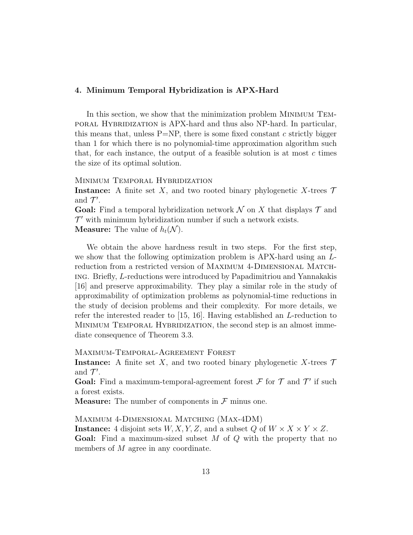#### 4. Minimum Temporal Hybridization is APX-Hard

In this section, we show that the minimization problem Minimum Temporal Hybridization is APX-hard and thus also NP-hard. In particular, this means that, unless  $P=NP$ , there is some fixed constant c strictly bigger than 1 for which there is no polynomial-time approximation algorithm such that, for each instance, the output of a feasible solution is at most  $c$  times the size of its optimal solution.

MINIMUM TEMPORAL HYBRIDIZATION

**Instance:** A finite set X, and two rooted binary phylogenetic X-trees  $\mathcal{T}$ and  $\mathcal{T}'$ .

**Goal:** Find a temporal hybridization network  $\mathcal N$  on X that displays  $\mathcal T$  and  $\mathcal{T}'$  with minimum hybridization number if such a network exists. **Measure:** The value of  $h_t(\mathcal{N})$ .

We obtain the above hardness result in two steps. For the first step, we show that the following optimization problem is APX-hard using an Lreduction from a restricted version of Maximum 4-Dimensional Matching. Briefly, L-reductions were introduced by Papadimitriou and Yannakakis [16] and preserve approximability. They play a similar role in the study of approximability of optimization problems as polynomial-time reductions in the study of decision problems and their complexity. For more details, we refer the interested reader to [15, 16]. Having established an L-reduction to MINIMUM TEMPORAL HYBRIDIZATION, the second step is an almost immediate consequence of Theorem 3.3.

Maximum-Temporal-Agreement Forest

**Instance:** A finite set X, and two rooted binary phylogenetic X-trees  $\mathcal{T}$ and  $\mathcal{T}'$ .

Goal: Find a maximum-temporal-agreement forest  $\mathcal F$  for  $\mathcal T$  and  $\mathcal T'$  if such a forest exists.

**Measure:** The number of components in  $\mathcal{F}$  minus one.

Maximum 4-Dimensional Matching (Max-4DM) **Instance:** 4 disjoint sets  $W, X, Y, Z$ , and a subset Q of  $W \times X \times Y \times Z$ . **Goal:** Find a maximum-sized subset  $M$  of  $Q$  with the property that no members of M agree in any coordinate.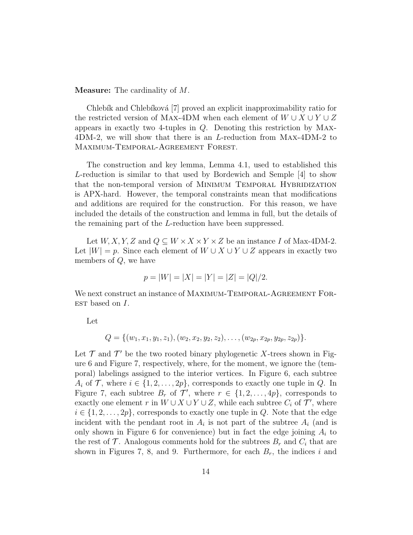Measure: The cardinality of M.

Chlebík and Chlebíková [7] proved an explicit inapproximability ratio for the restricted version of Max-4DM when each element of  $W \cup X \cup Y \cup Z$ appears in exactly two 4-tuples in Q. Denoting this restriction by Max-4DM-2, we will show that there is an L-reduction from Max-4DM-2 to Maximum-Temporal-Agreement Forest.

The construction and key lemma, Lemma 4.1, used to established this L-reduction is similar to that used by Bordewich and Semple [4] to show that the non-temporal version of MINIMUM TEMPORAL HYBRIDIZATION is APX-hard. However, the temporal constraints mean that modifications and additions are required for the construction. For this reason, we have included the details of the construction and lemma in full, but the details of the remaining part of the L-reduction have been suppressed.

Let  $W, X, Y, Z$  and  $Q \subseteq W \times X \times Y \times Z$  be an instance I of Max-4DM-2. Let  $|W| = p$ . Since each element of  $W \cup X \cup Y \cup Z$  appears in exactly two members of Q, we have

$$
p = |W| = |X| = |Y| = |Z| = |Q|/2.
$$

We next construct an instance of MAXIMUM-TEMPORAL-AGREEMENT FOR- $EST$  based on  $I$ .

Let

$$
Q = \{ (w_1, x_1, y_1, z_1), (w_2, x_2, y_2, z_2), \ldots, (w_{2p}, x_{2p}, y_{2p}, z_{2p}) \}.
$$

Let  $\mathcal T$  and  $\mathcal T'$  be the two rooted binary phylogenetic X-trees shown in Figure 6 and Figure 7, respectively, where, for the moment, we ignore the (temporal) labelings assigned to the interior vertices. In Figure 6, each subtree  $A_i$  of  $\mathcal{T}$ , where  $i \in \{1, 2, \ldots, 2p\}$ , corresponds to exactly one tuple in Q. In Figure 7, each subtree  $B_r$  of  $\mathcal{T}'$ , where  $r \in \{1, 2, ..., 4p\}$ , corresponds to exactly one element r in  $W \cup X \cup Y \cup Z$ , while each subtree  $C_i$  of  $\mathcal{T}'$ , where  $i \in \{1, 2, \ldots, 2p\}$ , corresponds to exactly one tuple in Q. Note that the edge incident with the pendant root in  $A_i$  is not part of the subtree  $A_i$  (and is only shown in Figure 6 for convenience) but in fact the edge joining  $A_i$  to the rest of  $\mathcal T$ . Analogous comments hold for the subtrees  $B_r$  and  $C_i$  that are shown in Figures 7, 8, and 9. Furthermore, for each  $B_r$ , the indices i and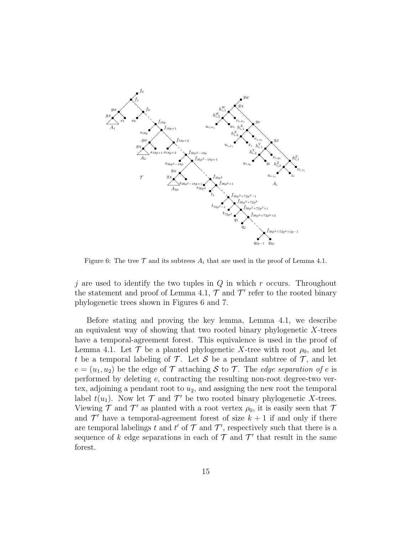

Figure 6: The tree  $\mathcal T$  and its subtrees  $A_i$  that are used in the proof of Lemma 4.1.

j are used to identify the two tuples in  $Q$  in which r occurs. Throughout the statement and proof of Lemma 4.1,  $\mathcal T$  and  $\mathcal T'$  refer to the rooted binary phylogenetic trees shown in Figures 6 and 7.

Before stating and proving the key lemma, Lemma 4.1, we describe an equivalent way of showing that two rooted binary phylogenetic  $X$ -trees have a temporal-agreement forest. This equivalence is used in the proof of Lemma 4.1. Let  $\mathcal T$  be a planted phylogenetic X-tree with root  $\rho_0$ , and let t be a temporal labeling of  $\mathcal T$ . Let S be a pendant subtree of  $\mathcal T$ , and let  $e = (u_1, u_2)$  be the edge of T attaching S to T. The *edge separation of e* is performed by deleting  $e$ , contracting the resulting non-root degree-two vertex, adjoining a pendant root to  $u_2$ , and assigning the new root the temporal label  $t(u_1)$ . Now let  $\mathcal T$  and  $\mathcal T'$  be two rooted binary phylogenetic X-trees. Viewing  $\mathcal T$  and  $\mathcal T'$  as planted with a root vertex  $\rho_0$ , it is easily seen that  $\mathcal T$ and  $\mathcal{T}'$  have a temporal-agreement forest of size  $k + 1$  if and only if there are temporal labelings t and t' of  $\mathcal T$  and  $\mathcal T'$ , respectively such that there is a sequence of k edge separations in each of  $\mathcal T$  and  $\mathcal T'$  that result in the same forest.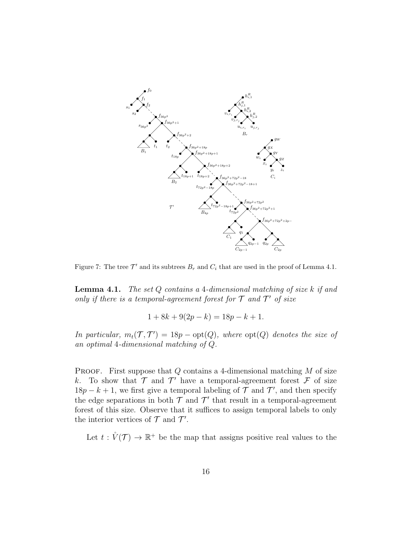

Figure 7: The tree  $\mathcal{T}'$  and its subtrees  $B_r$  and  $C_i$  that are used in the proof of Lemma 4.1.

**Lemma 4.1.** The set  $Q$  contains a 4-dimensional matching of size  $k$  if and only if there is a temporal-agreement forest for  $T$  and  $T'$  of size

$$
1 + 8k + 9(2p - k) = 18p - k + 1.
$$

In particular,  $m_t(\mathcal{T}, \mathcal{T}') = 18p - opt(Q)$ , where  $opt(Q)$  denotes the size of an optimal 4-dimensional matching of Q.

**PROOF.** First suppose that  $Q$  contains a 4-dimensional matching  $M$  of size k. To show that  $\mathcal T$  and  $\mathcal T'$  have a temporal-agreement forest  $\mathcal F$  of size  $18p - k + 1$ , we first give a temporal labeling of  $\mathcal T$  and  $\mathcal T'$ , and then specify the edge separations in both  $\mathcal T$  and  $\mathcal T'$  that result in a temporal-agreement forest of this size. Observe that it suffices to assign temporal labels to only the interior vertices of  $\mathcal T$  and  $\mathcal T'$ .

Let  $t: \mathring{V}(\mathcal{T}) \to \mathbb{R}^+$  be the map that assigns positive real values to the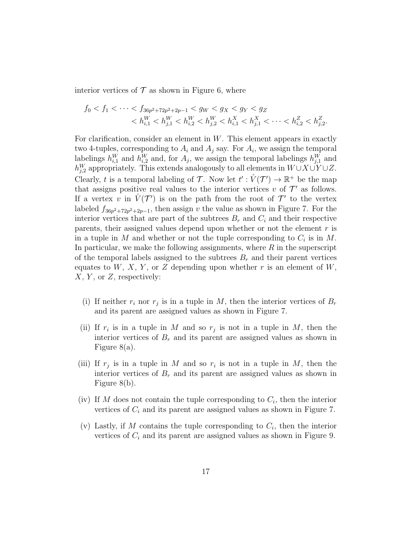interior vertices of  $\mathcal T$  as shown in Figure 6, where

$$
f_0 < f_1 < \cdots < f_{36p^2 + 72p^2 + 2p - 1} < g_W < g_X < g_Y < g_Z
$$
\n
$$
< h_{i,1}^W < h_{j,1}^W < h_{i,2}^W < h_{j,2}^W < h_{i,1}^X < h_{j,1}^X < \cdots < h_{i,2}^Z < h_{j,2}^Z
$$

.

For clarification, consider an element in  $W$ . This element appears in exactly two 4-tuples, corresponding to  $A_i$  and  $A_j$  say. For  $A_i$ , we assign the temporal labelings  $h_{i,1}^W$  and  $h_{i,2}^W$  and, for  $A_j$ , we assign the temporal labelings  $h_{j,1}^W$  and  $h_{j,2}^W$  appropriately. This extends analogously to all elements in  $W\cup X\cup Y\cup Z$ . Clearly, t is a temporal labeling of T. Now let  $t': \mathring{V}(\mathcal{T}') \to \mathbb{R}^+$  be the map that assigns positive real values to the interior vertices  $v$  of  $\mathcal{T}'$  as follows. If a vertex v in  $\mathring{V}(\mathcal{T}')$  is on the path from the root of  $\mathcal{T}'$  to the vertex labeled  $f_{36p^2+72p^2+2p-1}$ , then assign v the value as shown in Figure 7. For the interior vertices that are part of the subtrees  $B_r$  and  $C_i$  and their respective parents, their assigned values depend upon whether or not the element  $r$  is in a tuple in M and whether or not the tuple corresponding to  $C_i$  is in M. In particular, we make the following assignments, where  $R$  in the superscript of the temporal labels assigned to the subtrees  $B_r$  and their parent vertices equates to  $W, X, Y$ , or Z depending upon whether r is an element of W,  $X, Y$ , or  $Z$ , respectively:

- (i) If neither  $r_i$  nor  $r_j$  is in a tuple in M, then the interior vertices of  $B_r$ and its parent are assigned values as shown in Figure 7.
- (ii) If  $r_i$  is in a tuple in M and so  $r_j$  is not in a tuple in M, then the interior vertices of  $B_r$  and its parent are assigned values as shown in Figure 8(a).
- (iii) If  $r_j$  is in a tuple in M and so  $r_i$  is not in a tuple in M, then the interior vertices of  $B_r$  and its parent are assigned values as shown in Figure 8(b).
- (iv) If M does not contain the tuple corresponding to  $C_i$ , then the interior vertices of  $C_i$  and its parent are assigned values as shown in Figure 7.
- (v) Lastly, if M contains the tuple corresponding to  $C_i$ , then the interior vertices of  $C_i$  and its parent are assigned values as shown in Figure 9.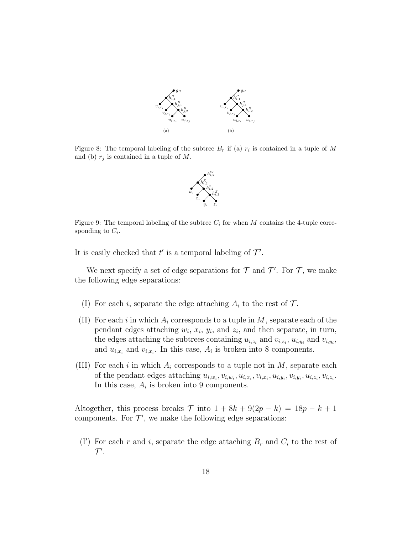

Figure 8: The temporal labeling of the subtree  $B_r$  if (a)  $r_i$  is contained in a tuple of M and (b)  $r_j$  is contained in a tuple of M.



Figure 9: The temporal labeling of the subtree  $C_i$  for when M contains the 4-tuple corresponding to  $C_i$ .

It is easily checked that  $t'$  is a temporal labeling of  $\mathcal{T}'$ .

We next specify a set of edge separations for  $\mathcal T$  and  $\mathcal T'$ . For  $\mathcal T$ , we make the following edge separations:

- (I) For each i, separate the edge attaching  $A_i$  to the rest of  $\mathcal{T}$ .
- (II) For each i in which  $A_i$  corresponds to a tuple in M, separate each of the pendant edges attaching  $w_i$ ,  $x_i$ ,  $y_i$ , and  $z_i$ , and then separate, in turn, the edges attaching the subtrees containing  $u_{i,z_i}$  and  $v_{i,z_i}$ ,  $u_{i,y_i}$  and  $v_{i,y_i}$ , and  $u_{i,x_i}$  and  $v_{i,x_i}$ . In this case,  $A_i$  is broken into 8 components.
- (III) For each i in which  $A_i$  corresponds to a tuple not in  $M$ , separate each of the pendant edges attaching  $u_{i,w_i}, v_{i,w_i}, u_{i,x_i}, v_{i,x_i}, u_{i,y_i}, v_{i,y_i}, u_{i,z_i}, v_{i,z_i}$ . In this case,  $A_i$  is broken into 9 components.

Altogether, this process breaks  $\mathcal T$  into  $1 + 8k + 9(2p - k) = 18p - k + 1$ components. For  $\mathcal{T}'$ , we make the following edge separations:

(I') For each r and i, separate the edge attaching  $B_r$  and  $C_i$  to the rest of  $\mathcal{T}^\prime$ .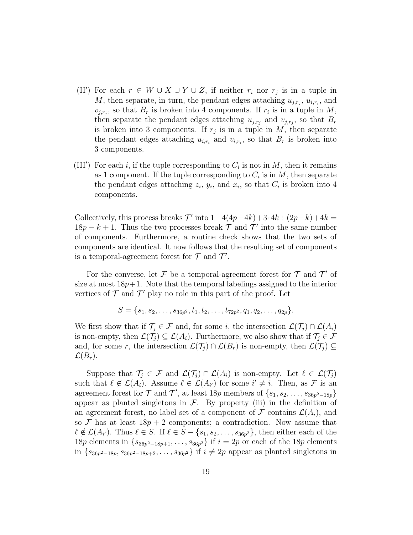- (II') For each  $r \in W \cup X \cup Y \cup Z$ , if neither  $r_i$  nor  $r_j$  is in a tuple in M, then separate, in turn, the pendant edges attaching  $u_{j,r_j}, u_{i,r_i}$ , and  $v_{j,r_j}$ , so that  $B_r$  is broken into 4 components. If  $r_i$  is in a tuple in M, then separate the pendant edges attaching  $u_{j,r_j}$  and  $v_{j,r_j}$ , so that  $B_r$ is broken into 3 components. If  $r_j$  is in a tuple in M, then separate the pendant edges attaching  $u_{i,r_i}$  and  $v_{i,r_i}$ , so that  $B_r$  is broken into 3 components.
- (III') For each i, if the tuple corresponding to  $C_i$  is not in M, then it remains as 1 component. If the tuple corresponding to  $C_i$  is in  $M$ , then separate the pendant edges attaching  $z_i$ ,  $y_i$ , and  $x_i$ , so that  $C_i$  is broken into 4 components.

Collectively, this process breaks  $\mathcal{T}'$  into  $1+4(4p-4k)+3\cdot 4k+(2p-k)+4k=$  $18p - k + 1$ . Thus the two processes break  $\mathcal T$  and  $\mathcal T'$  into the same number of components. Furthermore, a routine check shows that the two sets of components are identical. It now follows that the resulting set of components is a temporal-agreement forest for  $\mathcal T$  and  $\mathcal T'$ .

For the converse, let F be a temporal-agreement forest for  $\mathcal T$  and  $\mathcal T'$  of size at most  $18p+1$ . Note that the temporal labelings assigned to the interior vertices of  $\mathcal T$  and  $\mathcal T'$  play no role in this part of the proof. Let

$$
S = \{s_1, s_2, \ldots, s_{36p^2}, t_1, t_2, \ldots, t_{72p^2}, q_1, q_2, \ldots, q_{2p}\}.
$$

We first show that if  $\mathcal{T}_i \in \mathcal{F}$  and, for some i, the intersection  $\mathcal{L}(\mathcal{T}_i) \cap \mathcal{L}(A_i)$ is non-empty, then  $\mathcal{L}(\mathcal{T}_i) \subseteq \mathcal{L}(A_i)$ . Furthermore, we also show that if  $\mathcal{T}_i \in \mathcal{F}$ and, for some r, the intersection  $\mathcal{L}(\mathcal{T}_i) \cap \mathcal{L}(B_r)$  is non-empty, then  $\mathcal{L}(\mathcal{T}_i) \subseteq$  $\mathcal{L}(B_r)$ .

Suppose that  $\mathcal{T}_j \in \mathcal{F}$  and  $\mathcal{L}(\mathcal{T}_j) \cap \mathcal{L}(A_i)$  is non-empty. Let  $\ell \in \mathcal{L}(\mathcal{T}_j)$ such that  $\ell \notin \mathcal{L}(A_i)$ . Assume  $\ell \in \mathcal{L}(A_{i'})$  for some  $i' \neq i$ . Then, as F is an agreement forest for  $\mathcal T$  and  $\mathcal T'$ , at least 18p members of  $\{s_1, s_2, \ldots, s_{36p^2-18p}\}\$ appear as planted singletons in  $\mathcal{F}$ . By property (iii) in the definition of an agreement forest, no label set of a component of F contains  $\mathcal{L}(A_i)$ , and so  $\mathcal F$  has at least  $18p + 2$  components; a contradiction. Now assume that  $\ell \notin \mathcal{L}(A_{i'})$ . Thus  $\ell \in S$ . If  $\ell \in S - \{s_1, s_2, \ldots, s_{36p^2}\}\)$ , then either each of the 18p elements in  $\{s_{36p^2-18p+1}, \ldots, s_{36p^2}\}\$  if  $i = 2p$  or each of the 18p elements in  $\{s_{36p^2-18p}, s_{36p^2-18p+2}, \ldots, s_{36p^2}\}\$ if  $i \neq 2p$  appear as planted singletons in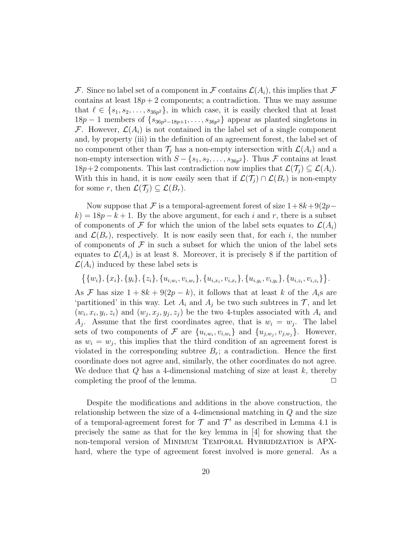F. Since no label set of a component in F contains  $\mathcal{L}(A_i)$ , this implies that F contains at least  $18p + 2$  components; a contradiction. Thus we may assume that  $\ell \in \{s_1, s_2, \ldots, s_{36p^2}\}\,$  in which case, it is easily checked that at least  $18p-1$  members of  $\{s_{36p^2-18p+1}, \ldots, s_{36p^2}\}\$ appear as planted singletons in F. However,  $\mathcal{L}(A_i)$  is not contained in the label set of a single component and, by property (iii) in the definition of an agreement forest, the label set of no component other than  $\mathcal{T}_j$  has a non-empty intersection with  $\mathcal{L}(A_i)$  and a non-empty intersection with  $S - \{s_1, s_2, \ldots, s_{36p^2}\}\$ . Thus  $\mathcal F$  contains at least  $18p+2$  components. This last contradiction now implies that  $\mathcal{L}(\mathcal{T}_i) \subseteq \mathcal{L}(A_i)$ . With this in hand, it is now easily seen that if  $\mathcal{L}(\mathcal{T}_i) \cap \mathcal{L}(B_r)$  is non-empty for some r, then  $\mathcal{L}(\mathcal{T}_i) \subseteq \mathcal{L}(B_r)$ .

Now suppose that F is a temporal-agreement forest of size  $1+8k+9(2p$  $k$ ) = 18p – k + 1. By the above argument, for each i and r, there is a subset of components of F for which the union of the label sets equates to  $\mathcal{L}(A_i)$ and  $\mathcal{L}(B_r)$ , respectively. It is now easily seen that, for each i, the number of components of  $\mathcal F$  in such a subset for which the union of the label sets equates to  $\mathcal{L}(A_i)$  is at least 8. Moreover, it is precisely 8 if the partition of  $\mathcal{L}(A_i)$  induced by these label sets is

$$
\{\{w_i\}, \{x_i\}, \{y_i\}, \{z_i\}, \{u_{i,w_i}, v_{i,w_i}\}, \{u_{i,x_i}, v_{i,x_i}\}, \{u_{i,y_i}, v_{i,y_i}\}, \{u_{i,z_i}, v_{i,z_i}\}\}.
$$

As F has size  $1 + 8k + 9(2p - k)$ , it follows that at least k of the  $A_i$ s are 'partitioned' in this way. Let  $A_i$  and  $A_j$  be two such subtrees in  $\mathcal{T}$ , and let  $(w_i, x_i, y_i, z_i)$  and  $(w_j, x_j, y_j, z_j)$  be the two 4-tuples associated with  $A_i$  and  $A_j$ . Assume that the first coordinates agree, that is  $w_i = w_j$ . The label sets of two components of F are  $\{u_{i,w_i}, v_{i,w_i}\}$  and  $\{u_{j,w_j}, v_{j,w_j}\}$ . However, as  $w_i = w_j$ , this implies that the third condition of an agreement forest is violated in the corresponding subtree  $B_r$ ; a contradiction. Hence the first coordinate does not agree and, similarly, the other coordinates do not agree. We deduce that  $Q$  has a 4-dimensional matching of size at least  $k$ , thereby completing the proof of the lemma.  $\Box$ 

Despite the modifications and additions in the above construction, the relationship between the size of a 4-dimensional matching in Q and the size of a temporal-agreement forest for  $\mathcal T$  and  $\mathcal T'$  as described in Lemma 4.1 is precisely the same as that for the key lemma in [4] for showing that the non-temporal version of MINIMUM TEMPORAL HYBRIDIZATION is APXhard, where the type of agreement forest involved is more general. As a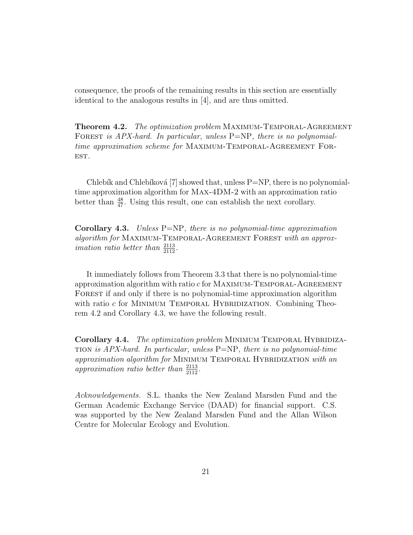consequence, the proofs of the remaining results in this section are essentially identical to the analogous results in [4], and are thus omitted.

**Theorem 4.2.** The optimization problem MAXIMUM-TEMPORAL-AGREEMENT FOREST is APX-hard. In particular, unless P=NP, there is no polynomialtime approximation scheme for MAXIMUM-TEMPORAL-AGREEMENT FOR-EST.

Chlebík and Chlebíková [7] showed that, unless  $P=NP$ , there is no polynomialtime approximation algorithm for Max-4DM-2 with an approximation ratio better than  $\frac{48}{47}$ . Using this result, one can establish the next corollary.

**Corollary 4.3.** Unless  $P=NP$ , there is no polynomial-time approximation algorithm for MAXIMUM-TEMPORAL-AGREEMENT FOREST with an approx*imation ratio better than*  $\frac{2113}{2112}$ .

It immediately follows from Theorem 3.3 that there is no polynomial-time approximation algorithm with ratio  $c$  for MAXIMUM-TEMPORAL-AGREEMENT FOREST if and only if there is no polynomial-time approximation algorithm with ratio  $c$  for MINIMUM TEMPORAL HYBRIDIZATION. Combining Theorem 4.2 and Corollary 4.3, we have the following result.

Corollary 4.4. The optimization problem MINIMUM TEMPORAL HYBRIDIZA-TION is  $APX$ -hard. In particular, unless  $P=NP$ , there is no polynomial-time approximation algorithm for MINIMUM TEMPORAL HYBRIDIZATION with an approximation ratio better than  $\frac{2113}{2112}$ .

Acknowledgements. S.L. thanks the New Zealand Marsden Fund and the German Academic Exchange Service (DAAD) for financial support. C.S. was supported by the New Zealand Marsden Fund and the Allan Wilson Centre for Molecular Ecology and Evolution.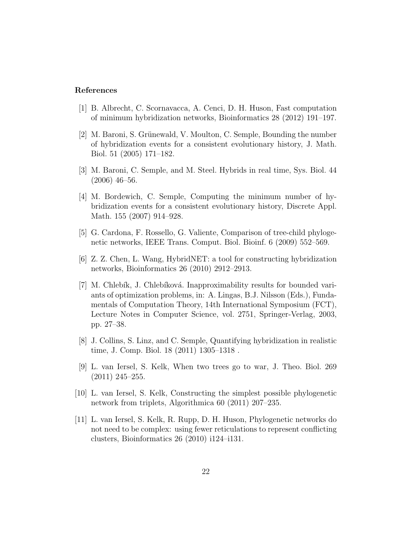#### References

- [1] B. Albrecht, C. Scornavacca, A. Cenci, D. H. Huson, Fast computation of minimum hybridization networks, Bioinformatics 28 (2012) 191–197.
- [2] M. Baroni, S. Grünewald, V. Moulton, C. Semple, Bounding the number of hybridization events for a consistent evolutionary history, J. Math. Biol. 51 (2005) 171–182.
- [3] M. Baroni, C. Semple, and M. Steel. Hybrids in real time, Sys. Biol. 44 (2006) 46–56.
- [4] M. Bordewich, C. Semple, Computing the minimum number of hybridization events for a consistent evolutionary history, Discrete Appl. Math. 155 (2007) 914–928.
- [5] G. Cardona, F. Rossello, G. Valiente, Comparison of tree-child phylogenetic networks, IEEE Trans. Comput. Biol. Bioinf. 6 (2009) 552–569.
- [6] Z. Z. Chen, L. Wang, HybridNET: a tool for constructing hybridization networks, Bioinformatics 26 (2010) 2912–2913.
- [7] M. Chlebík, J. Chlebíková. Inapproximability results for bounded variants of optimization problems, in: A. Lingas, B.J. Nilsson (Eds.), Fundamentals of Computation Theory, 14th International Symposium (FCT), Lecture Notes in Computer Science, vol. 2751, Springer-Verlag, 2003, pp. 27–38.
- [8] J. Collins, S. Linz, and C. Semple, Quantifying hybridization in realistic time, J. Comp. Biol. 18 (2011) 1305–1318 .
- [9] L. van Iersel, S. Kelk, When two trees go to war, J. Theo. Biol. 269 (2011) 245–255.
- [10] L. van Iersel, S. Kelk, Constructing the simplest possible phylogenetic network from triplets, Algorithmica 60 (2011) 207–235.
- [11] L. van Iersel, S. Kelk, R. Rupp, D. H. Huson, Phylogenetic networks do not need to be complex: using fewer reticulations to represent conflicting clusters, Bioinformatics 26 (2010) i124–i131.